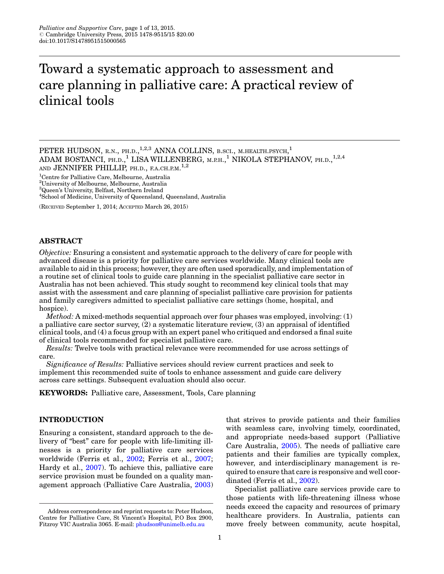# Toward a systematic approach to assessment and care planning in palliative care: A practical review of clinical tools

<sup>1</sup>Centre for Palliative Care, Melbourne, Australia

2 University of Melbourne, Melbourne, Australia

<sup>3</sup>Queen's University, Belfast, Northern Ireland

<sup>4</sup>School of Medicine, University of Queensland, Queensland, Australia

(RECEIVED September 1, 2014; ACCEPTED March 26, 2015)

## ABSTRACT

Objective: Ensuring a consistent and systematic approach to the delivery of care for people with advanced disease is a priority for palliative care services worldwide. Many clinical tools are available to aid in this process; however, they are often used sporadically, and implementation of a routine set of clinical tools to guide care planning in the specialist palliative care sector in Australia has not been achieved. This study sought to recommend key clinical tools that may assist with the assessment and care planning of specialist palliative care provision for patients and family caregivers admitted to specialist palliative care settings (home, hospital, and hospice).

Method: A mixed-methods sequential approach over four phases was employed, involving: (1) a palliative care sector survey, (2) a systematic literature review, (3) an appraisal of identified clinical tools, and (4) a focus group with an expert panel who critiqued and endorsed a final suite of clinical tools recommended for specialist palliative care.

Results: Twelve tools with practical relevance were recommended for use across settings of care.

Significance of Results: Palliative services should review current practices and seek to implement this recommended suite of tools to enhance assessment and guide care delivery across care settings. Subsequent evaluation should also occur.

KEYWORDS: Palliative care, Assessment, Tools, Care planning

# INTRODUCTION

Ensuring a consistent, standard approach to the delivery of "best" care for people with life-limiting illnesses is a priority for palliative care services worldwide (Ferris et al., [2002;](#page-11-0) Ferris et al., [2007](#page-11-0); Hardy et al., [2007](#page-11-0)). To achieve this, palliative care service provision must be founded on a quality management approach (Palliative Care Australia, [2003\)](#page-11-0)

that strives to provide patients and their families with seamless care, involving timely, coordinated, and appropriate needs-based support (Palliative Care Australia, [2005](#page-11-0)). The needs of palliative care patients and their families are typically complex, however, and interdisciplinary management is required to ensure that care is responsive and well coordinated (Ferris et al., [2002\)](#page-11-0).

Specialist palliative care services provide care to those patients with life-threatening illness whose needs exceed the capacity and resources of primary healthcare providers. In Australia, patients can move freely between community, acute hospital,

PETER HUDSON, R.N., PH.D.,  $^{1,2,3}$  ANNA COLLINS, B.SCI., M.HEALTH.PSYCH,  $^{1}$ ADAM BOSTANCI, PH.D.,<sup>1</sup> LISA WILLENBERG, M.P.H.,<sup>1</sup> NIKOLA STEPHANOV, PH.D.,<sup>1,2,4</sup> AND JENNIFER PHILLIP, PH.D., F.A.CH.P.M.<sup>1,2</sup>

Address correspondence and reprint requests to: Peter Hudson, Centre for Palliative Care, St Vincent's Hospital, P.O Box 2900, Fitzroy VIC Australia 3065. E-mail: [phudson@unimelb.edu.au](mailto:phudson@unimelb.edu.au)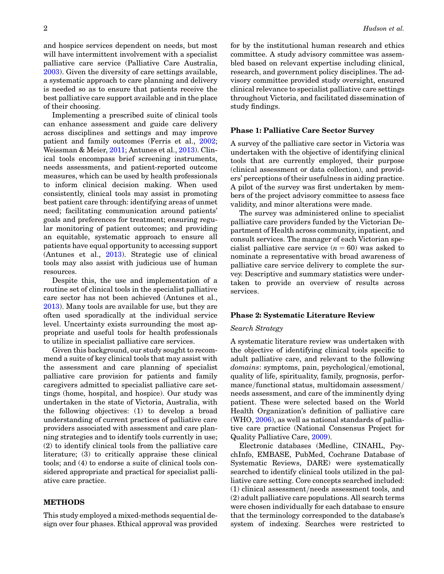and hospice services dependent on needs, but most will have intermittent involvement with a specialist palliative care service (Palliative Care Australia, [2003](#page-11-0)). Given the diversity of care settings available, a systematic approach to care planning and delivery is needed so as to ensure that patients receive the best palliative care support available and in the place of their choosing.

Implementing a prescribed suite of clinical tools can enhance assessment and guide care delivery across disciplines and settings and may improve patient and family outcomes (Ferris et al., [2002](#page-11-0); Weissman & Meier, [2011](#page-12-0); Antunes et al., [2013\)](#page-10-0). Clinical tools encompass brief screening instruments, needs assessments, and patient-reported outcome measures, which can be used by health professionals to inform clinical decision making. When used consistently, clinical tools may assist in promoting best patient care through: identifying areas of unmet need; facilitating communication around patients' goals and preferences for treatment; ensuring regular monitoring of patient outcomes; and providing an equitable, systematic approach to ensure all patients have equal opportunity to accessing support (Antunes et al., [2013\)](#page-10-0). Strategic use of clinical tools may also assist with judicious use of human resources.

Despite this, the use and implementation of a routine set of clinical tools in the specialist palliative care sector has not been achieved (Antunes et al., [2013](#page-10-0)). Many tools are available for use, but they are often used sporadically at the individual service level. Uncertainty exists surrounding the most appropriate and useful tools for health professionals to utilize in specialist palliative care services.

Given this background, our study sought to recommend a suite of key clinical tools that may assist with the assessment and care planning of specialist palliative care provision for patients and family caregivers admitted to specialist palliative care settings (home, hospital, and hospice). Our study was undertaken in the state of Victoria, Australia, with the following objectives: (1) to develop a broad understanding of current practices of palliative care providers associated with assessment and care planning strategies and to identify tools currently in use; (2) to identify clinical tools from the palliative care literature; (3) to critically appraise these clinical tools; and (4) to endorse a suite of clinical tools considered appropriate and practical for specialist palliative care practice.

# METHODS

This study employed a mixed-methods sequential design over four phases. Ethical approval was provided for by the institutional human research and ethics committee. A study advisory committee was assembled based on relevant expertise including clinical, research, and government policy disciplines. The advisory committee provided study oversight, ensured clinical relevance to specialist palliative care settings throughout Victoria, and facilitated dissemination of study findings.

## Phase 1: Palliative Care Sector Survey

A survey of the palliative care sector in Victoria was undertaken with the objective of identifying clinical tools that are currently employed, their purpose (clinical assessment or data collection), and providers' perceptions of their usefulness in aiding practice. A pilot of the survey was first undertaken by members of the project advisory committee to assess face validity, and minor alterations were made.

The survey was administered online to specialist palliative care providers funded by the Victorian Department of Health across community, inpatient, and consult services. The manager of each Victorian specialist palliative care service  $(n = 60)$  was asked to nominate a representative with broad awareness of palliative care service delivery to complete the survey. Descriptive and summary statistics were undertaken to provide an overview of results across services.

#### Phase 2: Systematic Literature Review

#### Search Strategy

A systematic literature review was undertaken with the objective of identifying clinical tools specific to adult palliative care, and relevant to the following domains: symptoms, pain, psychological/emotional, quality of life, spirituality, family, prognosis, performance/functional status, multidomain assessment/ needs assessment, and care of the imminently dying patient. These were selected based on the World Health Organization's definition of palliative care (WHO, [2006\)](#page-12-0), as well as national standards of palliative care practice (National Consensus Project for Quality Palliative Care, [2009](#page-11-0)).

Electronic databases (Medline, CINAHL, PsychInfo, EMBASE, PubMed, Cochrane Database of Systematic Reviews, DARE) were systematically searched to identify clinical tools utilized in the palliative care setting. Core concepts searched included: (1) clinical assessment/needs assessment tools, and (2) adult palliative care populations. All search terms were chosen individually for each database to ensure that the terminology corresponded to the database's system of indexing. Searches were restricted to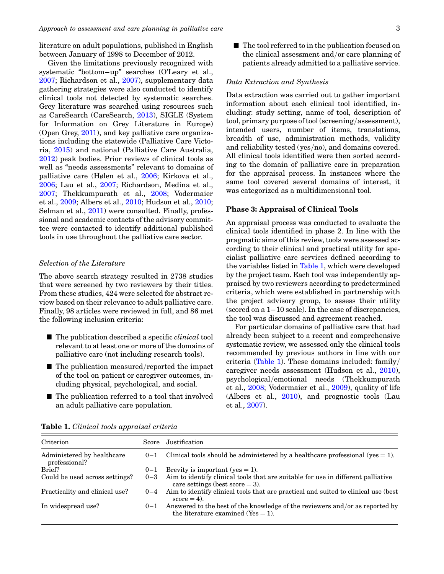literature on adult populations, published in English between January of 1998 to December of 2012.

Given the limitations previously recognized with systematic "bottom–up" searches (O'Leary et al., [2007](#page-11-0); Richardson et al., [2007\)](#page-12-0), supplementary data gathering strategies were also conducted to identify clinical tools not detected by systematic searches. Grey literature was searched using resources such as CareSearch (CareSearch, [2013](#page-10-0)), SIGLE (System for Information on Grey Literature in Europe) (Open Grey, [2011\)](#page-11-0), and key palliative care organizations including the statewide (Palliative Care Victoria, [2015\)](#page-11-0) and national (Palliative Care Australia, [2012](#page-11-0)) peak bodies. Prior reviews of clinical tools as well as "needs assessments" relevant to domains of palliative care (Hølen et al., [2006;](#page-11-0) Kirkova et al., [2006](#page-11-0); Lau et al., [2007](#page-11-0); Richardson, Medina et al., [2007](#page-12-0); Thekkumpurath et al., [2008](#page-12-0); Vodermaier et al., [2009](#page-12-0); Albers et al., [2010](#page-10-0); Hudson et al., [2010](#page-11-0); Selman et al., [2011](#page-12-0)) were consulted. Finally, professional and academic contacts of the advisory committee were contacted to identify additional published tools in use throughout the palliative care sector.

## Selection of the Literature

The above search strategy resulted in 2738 studies that were screened by two reviewers by their titles. From these studies, 424 were selected for abstract review based on their relevance to adult palliative care. Finally, 98 articles were reviewed in full, and 86 met the following inclusion criteria:

- $\blacksquare$  The publication described a specific *clinical* tool relevant to at least one or more of the domains of palliative care (not including research tools).
- $\blacksquare$  The publication measured/reported the impact of the tool on patient or caregiver outcomes, including physical, psychological, and social.
- $\blacksquare$  The publication referred to a tool that involved an adult palliative care population.

 $\blacksquare$  The tool referred to in the publication focused on the clinical assessment and/or care planning of patients already admitted to a palliative service.

#### Data Extraction and Synthesis

Data extraction was carried out to gather important information about each clinical tool identified, including: study setting, name of tool, description of tool, primary purpose of tool (screening/assessment), intended users, number of items, translations, breadth of use, administration methods, validity and reliability tested (yes/no), and domains covered. All clinical tools identified were then sorted according to the domain of palliative care in preparation for the appraisal process. In instances where the same tool covered several domains of interest, it was categorized as a multidimensional tool.

#### Phase 3: Appraisal of Clinical Tools

An appraisal process was conducted to evaluate the clinical tools identified in phase 2. In line with the pragmatic aims of this review, tools were assessed according to their clinical and practical utility for specialist palliative care services defined according to the variables listed in Table 1, which were developed by the project team. Each tool was independently appraised by two reviewers according to predetermined criteria, which were established in partnership with the project advisory group, to assess their utility (scored on a 1–10 scale). In the case of discrepancies, the tool was discussed and agreement reached.

For particular domains of palliative care that had already been subject to a recent and comprehensive systematic review, we assessed only the clinical tools recommended by previous authors in line with our criteria (Table 1). These domains included: family/ caregiver needs assessment (Hudson et al., [2010\)](#page-11-0), psychological/emotional needs (Thekkumpurath et al., [2008](#page-12-0); Vodermaier et al., [2009\)](#page-12-0), quality of life (Albers et al., [2010\)](#page-10-0), and prognostic tools (Lau et al., [2007\)](#page-11-0).

| Criterion                                   | Score   | Justification                                                                                                                |
|---------------------------------------------|---------|------------------------------------------------------------------------------------------------------------------------------|
| Administered by healthcare<br>professional? | $0 - 1$ | Clinical tools should be administered by a healthcare professional (yes $= 1$ ).                                             |
| Brief?                                      | $0 - 1$ | Brevity is important (yes $= 1$ ).                                                                                           |
| Could be used across settings?              |         | $0-3$ Aim to identify clinical tools that are suitable for use in different palliative<br>care settings (best score $= 3$ ). |
| Practicality and clinical use?              |         | $0-4$ Aim to identify clinical tools that are practical and suited to clinical use (best<br>$score = 4$ .                    |
| In widespread use?                          | $0 - 1$ | Answered to the best of the knowledge of the reviewers and/or as reported by<br>the literature examined ( $Yes = 1$ ).       |
|                                             |         |                                                                                                                              |

Table 1. Clinical tools appraisal criteria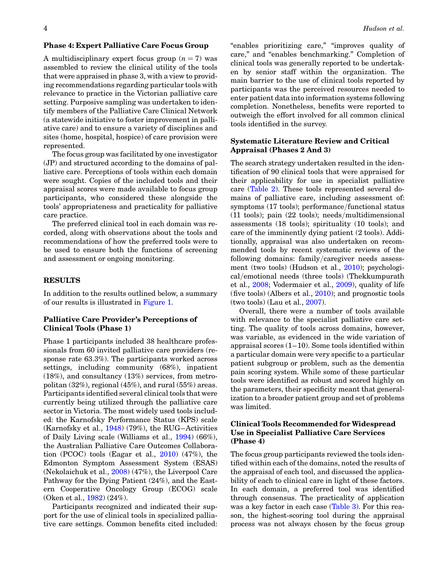### Phase 4: Expert Palliative Care Focus Group

A multidisciplinary expert focus group  $(n = 7)$  was assembled to review the clinical utility of the tools that were appraised in phase 3, with a view to providing recommendations regarding particular tools with relevance to practice in the Victorian palliative care setting. Purposive sampling was undertaken to identify members of the Palliative Care Clinical Network (a statewide initiative to foster improvement in palliative care) and to ensure a variety of disciplines and sites (home, hospital, hospice) of care provision were represented.

The focus group was facilitated by one investigator (JP) and structured according to the domains of palliative care. Perceptions of tools within each domain were sought. Copies of the included tools and their appraisal scores were made available to focus group participants, who considered these alongside the tools' appropriateness and practicality for palliative care practice.

The preferred clinical tool in each domain was recorded, along with observations about the tools and recommendations of how the preferred tools were to be used to ensure both the functions of screening and assessment or ongoing monitoring.

### RESULTS

In addition to the results outlined below, a summary of our results is illustrated in [Figure 1](#page-4-0).

# Palliative Care Provider's Perceptions of Clinical Tools (Phase 1)

Phase 1 participants included 38 healthcare professionals from 60 invited palliative care providers (response rate 63.3%). The participants worked across settings, including community (68%), inpatient  $(18\%)$ , and consultancy  $(13\%)$  services, from metropolitan (32%), regional (45%), and rural (55%) areas. Participants identified several clinical tools that were currently being utilized through the palliative care sector in Victoria. The most widely used tools included: the Karnofsky Performance Status (KPS) scale (Karnofsky et al.,  $1948$ ) (79%), the RUG–Activities of Daily Living scale (Williams et al., [1994\)](#page-12-0) (66%), the Australian Palliative Care Outcomes Collaboration (PCOC) tools (Eagar et al., [2010](#page-10-0)) (47%), the Edmonton Symptom Assessment System (ESAS) (Nekolaichuk et al., [2008\)](#page-11-0) (47%), the Liverpool Care Pathway for the Dying Patient (24%), and the Eastern Cooperative Oncology Group (ECOG) scale (Oken et al., [1982\)](#page-11-0) (24%).

Participants recognized and indicated their support for the use of clinical tools in specialized palliative care settings. Common benefits cited included:

"enables prioritizing care," "improves quality of care," and "enables benchmarking." Completion of clinical tools was generally reported to be undertaken by senior staff within the organization. The main barrier to the use of clinical tools reported by participants was the perceived resources needed to enter patient data into information systems following completion. Nonetheless, benefits were reported to outweigh the effort involved for all common clinical tools identified in the survey.

## Systematic Literature Review and Critical Appraisal (Phases 2 And 3)

The search strategy undertaken resulted in the identification of 90 clinical tools that were appraised for their applicability for use in specialist palliative care ([Table 2\)](#page-5-0). These tools represented several domains of palliative care, including assessment of: symptoms (17 tools); performance/functional status (11 tools); pain (22 tools); needs/multidimensional assessments (18 tools); spirituality (10 tools); and care of the imminently dying patient (2 tools). Additionally, appraisal was also undertaken on recommended tools by recent systematic reviews of the following domains: family/caregiver needs assessment (two tools) (Hudson et al., [2010\)](#page-11-0); psychological/emotional needs (three tools) (Thekkumpurath et al., [2008](#page-12-0); Vodermaier et al., [2009\)](#page-12-0), quality of life (five tools) (Albers et al., [2010\)](#page-10-0); and prognostic tools (two tools) (Lau et al., [2007\)](#page-11-0).

Overall, there were a number of tools available with relevance to the specialist palliative care setting. The quality of tools across domains, however, was variable, as evidenced in the wide variation of appraisal scores  $(1-10)$ . Some tools identified within a particular domain were very specific to a particular patient subgroup or problem, such as the dementia pain scoring system. While some of these particular tools were identified as robust and scored highly on the parameters, their specificity meant that generalization to a broader patient group and set of problems was limited.

# Clinical Tools Recommended for Widespread Use in Specialist Palliative Care Services (Phase 4)

The focus group participants reviewed the tools identified within each of the domains, noted the results of the appraisal of each tool, and discussed the applicability of each to clinical care in light of these factors. In each domain, a preferred tool was identified through consensus. The practicality of application was a key factor in each case ([Table 3](#page-9-0)). For this reason, the highest-scoring tool during the appraisal process was not always chosen by the focus group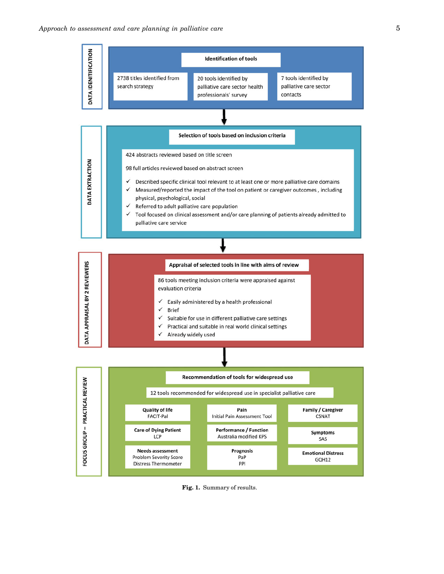<span id="page-4-0"></span>

Fig. 1. Summary of results.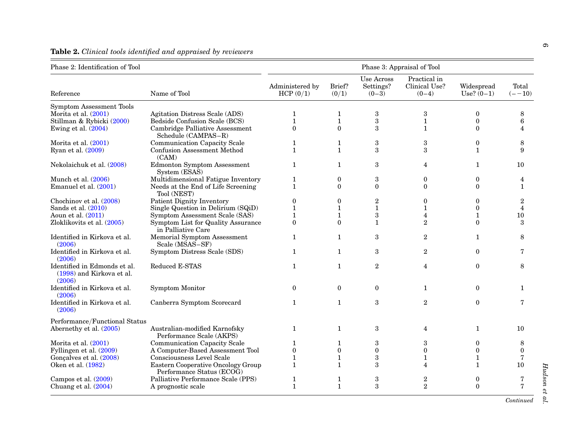| Phase 2: Identification of Tool                                     | Phase 3: Appraisal of Tool                                      |                             |                 |                                    |                                          |                            |                    |
|---------------------------------------------------------------------|-----------------------------------------------------------------|-----------------------------|-----------------|------------------------------------|------------------------------------------|----------------------------|--------------------|
| Reference                                                           | Name of Tool                                                    | Administered by<br>HCP(0/1) | Brief?<br>(0/1) | Use Across<br>Settings?<br>$(0-3)$ | Practical in<br>Clinical Use?<br>$(0-4)$ | Widespread<br>$Use? (0-1)$ | Total<br>$(- -10)$ |
| <b>Symptom Assessment Tools</b>                                     |                                                                 |                             |                 |                                    |                                          |                            |                    |
| Morita et al. $(2001)$                                              | Agitation Distress Scale (ADS)                                  | 1                           | $\mathbf{1}$    | 3                                  | 3                                        | $\mathbf{0}$               | 8                  |
| Stillman & Rybicki (2000)                                           | Bedside Confusion Scale (BCS)                                   | $\mathbf{1}$                | $\mathbf{1}$    | $\sqrt{3}$                         | $\mathbf{1}$                             | $\mathbf{0}$               | 6                  |
| Ewing et al. $(2004)$                                               | Cambridge Palliative Assessment<br>Schedule (CAMPAS-R)          | $\Omega$                    | $\Omega$        | 3                                  | $\mathbf{1}$                             | $\Omega$                   | 4                  |
| Morita et al. $(2001)$                                              | Communication Capacity Scale                                    | 1                           | 1               | $\boldsymbol{3}$                   | 3                                        | $\mathbf{0}$               | 8                  |
| Ryan et al. (2009)                                                  | <b>Confusion Assessment Method</b><br>(CAM)                     | $\mathbf{1}$                | $\mathbf{1}$    | 3                                  | 3                                        | $\mathbf{1}$               | 9                  |
| Nekolaichuk et al. (2008)                                           | Edmonton Symptom Assessment<br>System (ESAS)                    | $\mathbf{1}$                | $\mathbf{1}$    | $\boldsymbol{3}$                   | $\overline{4}$                           | $\mathbf{1}$               | 10                 |
| Munch et al. $(2006)$                                               | Multidimensional Fatigue Inventory                              | $\mathbf{1}$                | $\mathbf{0}$    | 3                                  | $\mathbf{0}$                             | $\mathbf{0}$               | $\overline{4}$     |
| Emanuel et al. (2001)                                               | Needs at the End of Life Screening<br>Tool (NEST)               | $\mathbf{1}$                | $\theta$        | $\mathbf{0}$                       | $\theta$                                 | $\theta$                   | $\mathbf{1}$       |
| Chochinov et al. (2008)                                             | Patient Dignity Inventory                                       | $\boldsymbol{0}$            | $\mathbf{0}$    | $\boldsymbol{2}$                   | $\mathbf{0}$                             | $\mathbf{0}$               | $\boldsymbol{2}$   |
| Sands et al. $(2010)$                                               | Single Question in Delirium (SQiD)                              | $\mathbf{1}$                | $\mathbf{1}$    | $\mathbf{1}$                       | $\mathbf{1}$                             | $\Omega$                   | $\overline{4}$     |
| Aoun et al. (2011)                                                  | Symptom Assessment Scale (SAS)                                  | $\mathbf{1}$                | $\mathbf{1}$    | $\,3$                              | $\overline{4}$                           | $\mathbf{1}$               | 10                 |
| Zloklikovits et al. (2005)                                          | Symptom List for Quality Assurance<br>in Palliative Care        | $\theta$                    | $\theta$        | $\mathbf{1}$                       | 2                                        | $\Omega$                   | 3                  |
| Identified in Kirkova et al.<br>(2006)                              | Memorial Symptom Assessment<br>Scale (MSAS-SF)                  | $\mathbf{1}$                | $\mathbf{1}$    | $\boldsymbol{3}$                   | $\overline{2}$                           | $\mathbf{1}$               | 8                  |
| Identified in Kirkova et al.<br>(2006)                              | Symptom Distress Scale (SDS)                                    | $\mathbf{1}$                | $\mathbf{1}$    | $\boldsymbol{3}$                   | $\overline{2}$                           | $\mathbf{0}$               | 7                  |
| Identified in Edmonds et al.<br>(1998) and Kirkova et al.<br>(2006) | Reduced E-STAS                                                  | $\mathbf{1}$                | $\mathbf{1}$    | $\boldsymbol{2}$                   | $\overline{4}$                           | $\mathbf{0}$               | 8                  |
| Identified in Kirkova et al.<br>(2006)                              | Symptom Monitor                                                 | $\theta$                    | $\theta$        | $\mathbf{0}$                       | $\mathbf{1}$                             | $\theta$                   | $\mathbf{1}$       |
| Identified in Kirkova et al.<br>(2006)                              | Canberra Symptom Scorecard                                      | $\mathbf{1}$                | $\mathbf{1}$    | 3                                  | $\overline{2}$                           | $\theta$                   | 7                  |
| Performance/Functional Status                                       |                                                                 |                             |                 |                                    |                                          |                            |                    |
| Abernethy et al. (2005)                                             | Australian-modified Karnofsky<br>Performance Scale (AKPS)       | $\mathbf{1}$                | $\mathbf{1}$    | $\,3$                              | $\overline{4}$                           | $\mathbf{1}$               | 10                 |
| Morita et al. $(2001)$                                              | Communication Capacity Scale                                    | 1                           | 1               | 3                                  | 3                                        | $\boldsymbol{0}$           | 8                  |
| Fyllingen et al. (2009)                                             | A Computer-Based Assessment Tool                                | $\boldsymbol{0}$            | $\mathbf{0}$    | $\mathbf{0}$                       | $\mathbf{0}$                             | $\mathbf{0}$               | $\theta$           |
| Gonçalves et al. (2008)                                             | Consciousness Level Scale                                       | $\mathbf{1}$                | $\mathbf{1}$    | 3                                  | $\mathbf{1}$                             | $\mathbf{1}$               |                    |
| Oken et al. (1982)                                                  | Eastern Cooperative Oncology Group<br>Performance Status (ECOG) | $\mathbf{1}$                | $\mathbf{1}$    | $\boldsymbol{3}$                   | $\overline{4}$                           | $\mathbf{1}$               | 10                 |
| Campos et al. (2009)                                                | Palliative Performance Scale (PPS)                              | $\mathbf{1}$                | 1               | $\,3$                              | 2                                        | $\bf{0}$                   |                    |
| Chuang et al. (2004)                                                | A prognostic scale                                              | $\mathbf{1}$                | $\mathbf{1}$    | $\mathcal{S}$                      | $\overline{2}$                           | $\Omega$                   | 7                  |

## <span id="page-5-0"></span>**Table 2.** Clinical tools identified and appraised by reviewers

 $Hudson$  et al.  $Hudson$ Hudson et al.  $\,$ 

Continued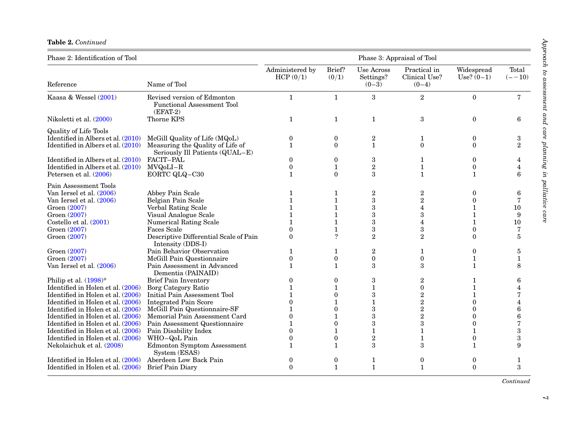#### Table 2. Continued

| Phase 2: Identification of Tool                                                                               | Phase 3: Appraisal of Tool                                                                                  |                                       |                               |                                           |                                                                 |                                                      |                    |
|---------------------------------------------------------------------------------------------------------------|-------------------------------------------------------------------------------------------------------------|---------------------------------------|-------------------------------|-------------------------------------------|-----------------------------------------------------------------|------------------------------------------------------|--------------------|
| Reference                                                                                                     | Name of Tool                                                                                                | Administered by<br>HCP(0/1)           | Brief?<br>(0/1)               | <b>Use Across</b><br>Settings?<br>$(0-3)$ | Practical in<br>Clinical Use?<br>$(0-4)$                        | Widespread<br>$Use? (0-1)$                           | Total<br>$(- -10)$ |
| Kaasa & Wessel (2001)                                                                                         | Revised version of Edmonton<br><b>Functional Assessment Tool</b><br>$(EFAT-2)$                              | $\mathbf{1}$                          | $\mathbf{1}$                  | 3                                         | $\overline{2}$                                                  | $\Omega$                                             | $\overline{7}$     |
| Nikoletti et al. (2000)                                                                                       | Thorne KPS                                                                                                  | 1                                     | 1                             | $\mathbf{1}$                              | 3                                                               | $\theta$                                             | 6                  |
| <b>Quality of Life Tools</b><br>Identified in Albers et al. (2010)                                            | McGill Quality of Life (MQoL)                                                                               | $\boldsymbol{0}$                      | $\bf{0}$                      | 2                                         | 1                                                               | $\mathbf{0}$                                         | 3                  |
| Identified in Albers et al. $(2010)$                                                                          | Measuring the Quality of Life of<br>Seriously Ill Patients (QUAL-E)                                         | $\mathbf{1}$                          | $\Omega$                      | $\mathbf{1}$                              | $\theta$                                                        | $\theta$                                             | $\overline{2}$     |
| Identified in Albers et al. (2010)<br>Identified in Albers et al. (2010)<br>Petersen et al. (2006)            | FACIT-PAL<br>MVQoLI-R<br>EORTC QLQ-C30                                                                      | $\Omega$<br>$\boldsymbol{0}$<br>1     | $\theta$<br>1<br>$\Omega$     | 3<br>$\boldsymbol{2}$<br>3                | 1<br>$\mathbf{1}$<br>$\mathbf{1}$                               | $\theta$<br>$\bf{0}$<br>$\mathbf{1}$                 | 6                  |
| Pain Assessment Tools<br>Van Iersel et al. (2006)<br>Van Iersel et al. (2006)<br>Groen (2007)<br>Groen (2007) | Abbey Pain Scale<br>Belgian Pain Scale<br>Verbal Rating Scale<br>Visual Analogue Scale                      |                                       | 1                             | $\overline{2}$<br>3<br>3<br>3             | $\boldsymbol{2}$<br>$\overline{2}$<br>$\overline{4}$<br>$\rm 3$ | $\Omega$<br>$\Omega$<br>$\mathbf{1}$<br>$\mathbf{1}$ | 6<br>7<br>10<br>9  |
| Costello et al. $(2001)$                                                                                      | <b>Numerical Rating Scale</b>                                                                               |                                       | 1                             | 3                                         | 4                                                               | $\mathbf{1}$                                         | 10                 |
| Groen (2007)<br>Groen (2007)                                                                                  | <b>Faces Scale</b><br>Descriptive Differential Scale of Pain<br>Intensity (DDS-I)                           | ∩<br>$\Omega$                         | $\gamma$                      | 3<br>$\overline{2}$                       | $\boldsymbol{3}$<br>$\overline{2}$                              | $\Omega$<br>$\Omega$                                 | 7<br>5             |
| Groen (2007)<br>Groen (2007)<br>Van Iersel et al. (2006)                                                      | Pain Behavior Observation<br>McGill Pain Questionnaire<br>Pain Assessment in Advanced<br>Dementia (PAINAID) | 1<br>$\boldsymbol{0}$<br>$\mathbf{1}$ | 1<br>$\bf{0}$<br>$\mathbf{1}$ | $\overline{2}$<br>$\mathbf{0}$<br>3       | 1<br>$\boldsymbol{0}$<br>3                                      | $\Omega$<br>1<br>$\mathbf{1}$                        | 5<br>1<br>8        |
| Philip et al. $(1998)^*$<br>Identified in Holen et al. (2006)                                                 | <b>Brief Pain Inventory</b><br>Borg Category Ratio<br><b>Initial Pain Assessment Tool</b>                   | 0                                     | 0<br>0                        | 3<br>$\mathbf{1}$<br>3                    | $\boldsymbol{2}$<br>$\boldsymbol{0}$                            | 1<br>$\mathbf{1}$                                    | 6                  |
| Identified in Holen et al. (2006)<br>Identified in Holen et al. (2006)<br>Identified in Holen et al. (2006)   | <b>Integrated Pain Score</b><br>McGill Pain Questionnaire-SF                                                | 0                                     | 1<br>0                        | $\mathbf{1}$                              | $\boldsymbol{2}$<br>$\overline{2}$<br>$\overline{2}$            | 1<br>$\Omega$<br>$\theta$                            | 4<br>6             |
| Identified in Holen et al. (2006)<br>Identified in Holen et al. (2006)<br>Identified in Holen et al. (2006)   | Memorial Pain Assessment Card<br>Pain Assessment Questionnaire<br>Pain Disability Index                     | $\Omega$<br>0                         | 0                             | 3<br>3<br>1                               | $\overline{2}$<br>3<br>$\mathbf{1}$                             | $\Omega$<br>$\Omega$                                 | 6<br>7<br>3        |
| Identified in Holen et al. (2006)<br>Nekolaichuk et al. (2008)                                                | WHO-QoL Pain<br><b>Edmonton Symptom Assessment</b><br>System (ESAS)                                         | 0<br>1                                | 0<br>$\mathbf{1}$             | $\overline{2}$<br>3                       | 1<br>3                                                          | $\mathbf{0}$<br>$\mathbf{1}$                         | 3<br>9             |
| Identified in Holen et al. (2006)<br>Identified in Holen et al. (2006)                                        | Aberdeen Low Back Pain<br><b>Brief Pain Diary</b>                                                           | 0<br>$\Omega$                         | 0<br>$\mathbf{1}$             | 1<br>$\mathbf{1}$                         | $\boldsymbol{0}$<br>$\mathbf{1}$                                | $\bf{0}$<br>$\Omega$                                 | 1<br>3             |

Continued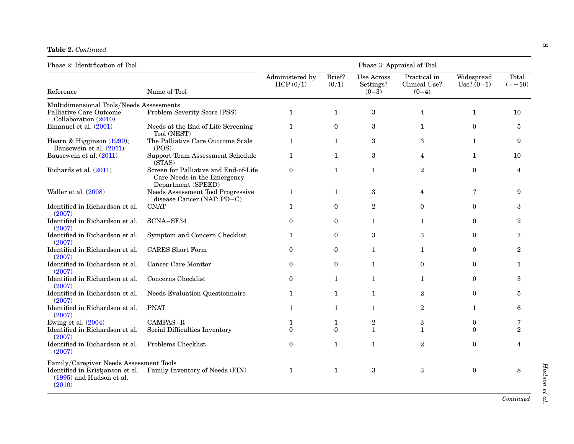Table 2. Continued

| Phase 2: Identification of Tool                         | Phase 3: Appraisal of Tool                                                                 |                             |                 |                                    |                                          |                            |                    |
|---------------------------------------------------------|--------------------------------------------------------------------------------------------|-----------------------------|-----------------|------------------------------------|------------------------------------------|----------------------------|--------------------|
| Reference                                               | Name of Tool                                                                               | Administered by<br>HCP(0/1) | Brief?<br>(0/1) | Use Across<br>Settings?<br>$(0-3)$ | Practical in<br>Clinical Use?<br>$(0-4)$ | Widespread<br>$Use? (0-1)$ | Total<br>$(- -10)$ |
| Multidimensional Tools/Needs Assessments                |                                                                                            |                             |                 |                                    |                                          |                            |                    |
| Palliative Care Outcome<br>Collaboration (2010)         | Problem Severity Score (PSS)                                                               | $\mathbf{1}$                | $\mathbf{1}$    | $\,3$                              | $\overline{4}$                           | $\mathbf{1}$               | 10                 |
| Emanuel et al. (2001)                                   | Needs at the End of Life Screening<br>Tool (NEST)                                          | $\mathbf{1}$                | $\mathbf{0}$    | $\boldsymbol{3}$                   | $\mathbf{1}$                             | $\mathbf{0}$               | 5                  |
| Hearn & Higginson $(1999)$ ;<br>Bausewein et al. (2011) | The Palliative Care Outcome Scale<br>(POS)                                                 | $\mathbf{1}$                | $\mathbf{1}$    | 3                                  | 3                                        | $\mathbf{1}$               | 9                  |
| Bausewein et al. (2011)                                 | Support Team Assessment Schedule<br>(STAS)                                                 | $\mathbf{1}$                | $\mathbf{1}$    | 3                                  | $\overline{4}$                           | $\mathbf{1}$               | 10                 |
| Richards et al. (2011)                                  | Screen for Palliative and End-of-Life<br>Care Needs in the Emergency<br>Department (SPEED) | $\mathbf{0}$                | $\mathbf{1}$    | $\mathbf{1}$                       | $\overline{2}$                           | $\Omega$                   | $\overline{4}$     |
| Waller et al. (2008)                                    | Needs Assessment Tool Progressive<br>disease Cancer (NAT: PD-C)                            | $\mathbf{1}$                | $\mathbf{1}$    | 3                                  | $\overline{4}$                           | $\overline{?}$             | 9                  |
| Identified in Richardson et al.<br>(2007)               | <b>CNAT</b>                                                                                | $\mathbf{1}$                | $\theta$        | $\overline{2}$                     | $\theta$                                 | $\Omega$                   | 3                  |
| Identified in Richardson et al.<br>(2007)               | SCNA-SF34                                                                                  | $\theta$                    | $\overline{0}$  | $\mathbf{1}$                       | $\mathbf{1}$                             | $\theta$                   | $\overline{2}$     |
| Identified in Richardson et al.<br>(2007)               | Symptom and Concern Checklist                                                              | $\mathbf{1}$                | $\mathbf{0}$    | 3                                  | 3                                        | $\theta$                   | 7                  |
| Identified in Richardson et al.<br>(2007)               | <b>CARES</b> Short Form                                                                    | $\theta$                    | $\mathbf{0}$    | $\mathbf{1}$                       | $\mathbf{1}$                             | $\theta$                   | $\overline{2}$     |
| Identified in Richardson et al.<br>(2007)               | <b>Cancer Care Monitor</b>                                                                 | $\bf{0}$                    | $\mathbf{0}$    | $\mathbf{1}$                       | $\Omega$                                 | $\Omega$                   | 1                  |
| Identified in Richardson et al.<br>(2007)               | Concerns Checklist                                                                         | $\mathbf{0}$                | $\mathbf{1}$    | $\mathbf{1}$                       | $\mathbf{1}$                             | $\Omega$                   | 3                  |
| Identified in Richardson et al.<br>(2007)               | Needs Evaluation Questionnaire                                                             | 1                           | $\mathbf{1}$    | $\mathbf{1}$                       | $\overline{2}$                           | $\theta$                   | 5                  |
| Identified in Richardson et al.<br>(2007)               | <b>PNAT</b>                                                                                | $\mathbf{1}$                | $\mathbf{1}$    | $\mathbf{1}$                       | $\mathbf{2}$                             | $\mathbf{1}$               | 6                  |
| Ewing et al. $(2004)$                                   | CAMPAS-R                                                                                   | 1                           | 1               | $\sqrt{2}$                         | $\,3$                                    | $\mathbf{0}$               | 7                  |
| Identified in Richardson et al.<br>(2007)               | Social Difficulties Inventory                                                              | $\Omega$                    | $\theta$        | $\mathbf{1}$                       | $\mathbf{1}$                             | $\Omega$                   | $\mathbf{2}$       |
| Identified in Richardson et al.<br>(2007)               | Problems Checklist                                                                         | $\mathbf{0}$                | $\mathbf{1}$    | $\mathbf{1}$                       | $\overline{2}$                           | $\Omega$                   | 4                  |
| Family/Caregiver Needs Assessment Tools                 |                                                                                            |                             |                 |                                    |                                          |                            |                    |
| $(1995)$ and Hudson et al.<br>(2010)                    | Identified in Kristjanson et al. Family Inventory of Needs (FIN)                           | 1                           | $\mathbf{1}$    | 3                                  | 3                                        | $\mathbf{0}$               | 8                  |

Continued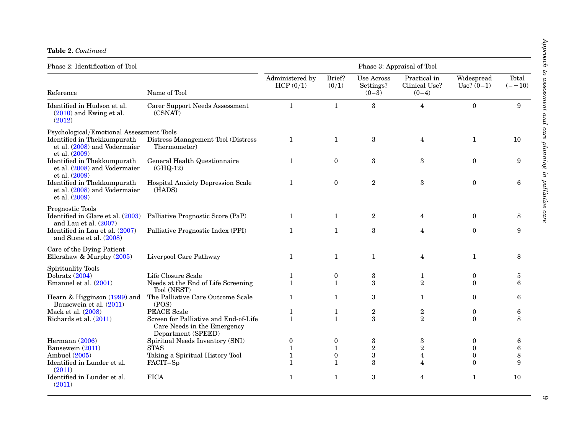|  | <b>Table 2. Continued</b> |
|--|---------------------------|
|  |                           |

| Phase 2: Identification of Tool                                              | Phase 3: Appraisal of Tool                                                                 |                              |                          |                                           |                                          |                            |                    |
|------------------------------------------------------------------------------|--------------------------------------------------------------------------------------------|------------------------------|--------------------------|-------------------------------------------|------------------------------------------|----------------------------|--------------------|
| Reference                                                                    | Name of Tool                                                                               | Administered by<br>HCP(0/1)  | Brief?<br>(0/1)          | <b>Use Across</b><br>Settings?<br>$(0-3)$ | Practical in<br>Clinical Use?<br>$(0-4)$ | Widespread<br>Use? $(0-1)$ | Total<br>$(- -10)$ |
| Identified in Hudson et al.<br>$(2010)$ and Ewing et al.<br>(2012)           | Carer Support Needs Assessment<br>(CSNAT)                                                  | $\mathbf{1}$                 | $\mathbf{1}$             | $\boldsymbol{3}$                          | $\overline{\mathbf{4}}$                  | $\boldsymbol{0}$           | 9                  |
| Psychological/Emotional Assessment Tools                                     |                                                                                            |                              |                          |                                           |                                          |                            |                    |
| Identified in Thekkumpurath<br>et al. (2008) and Vodermaier<br>et al. (2009) | Distress Management Tool (Distress<br>Thermometer)                                         | $\mathbf{1}$                 | $\mathbf{1}$             | 3                                         | $\overline{4}$                           | $\mathbf{1}$               | 10                 |
| Identified in Thekkumpurath<br>et al. (2008) and Vodermaier<br>et al. (2009) | General Health Questionnaire<br>$(GHQ-12)$                                                 | $\mathbf{1}$                 | $\theta$                 | 3                                         | 3                                        | $\mathbf{0}$               | 9                  |
| Identified in Thekkumpurath<br>et al. (2008) and Vodermaier<br>et al. (2009) | Hospital Anxiety Depression Scale<br>(HADS)                                                | $\mathbf{1}$                 | $\overline{0}$           | $\boldsymbol{2}$                          | $\boldsymbol{3}$                         | $\mathbf{0}$               | 6                  |
| Prognostic Tools                                                             |                                                                                            |                              |                          |                                           |                                          |                            |                    |
| Identified in Glare et al. (2003)<br>and Lau et al. $(2007)$                 | Palliative Prognostic Score (PaP)                                                          | $\mathbf{1}$                 | $\mathbf{1}$             | $\boldsymbol{2}$                          | $\overline{4}$                           | $\Omega$                   | 8                  |
| Identified in Lau et al. (2007)<br>and Stone et al. (2008)                   | Palliative Prognostic Index (PPI)                                                          | $\mathbf{1}$                 | $\mathbf{1}$             | 3                                         | $\overline{4}$                           | $\mathbf{0}$               | 9                  |
| Care of the Dying Patient                                                    |                                                                                            |                              |                          |                                           |                                          |                            |                    |
| Ellershaw & Murphy (2005)                                                    | Liverpool Care Pathway                                                                     | $\mathbf{1}$                 | $\mathbf{1}$             | $\mathbf{1}$                              | $\overline{4}$                           | $\mathbf{1}$               | 8                  |
| <b>Spirituality Tools</b>                                                    |                                                                                            |                              |                          |                                           |                                          |                            |                    |
| Dobratz (2004)<br>Emanuel et al. (2001)                                      | Life Closure Scale<br>Needs at the End of Life Screening                                   | $\mathbf{1}$<br>$\mathbf{1}$ | $\bf{0}$<br>$\mathbf{1}$ | $\rm 3$<br>3                              | $\mathbf{1}$<br>$\overline{2}$           | $\mathbf{0}$<br>$\Omega$   | 5<br>6             |
|                                                                              | Tool (NEST)                                                                                |                              |                          |                                           |                                          |                            |                    |
| Hearn & Higginson $(1999)$ and<br>Bausewein et al. (2011)                    | The Palliative Care Outcome Scale<br>(POS)                                                 | $\mathbf{1}$                 | $\mathbf{1}$             | 3                                         | $\mathbf{1}$                             | $\mathbf{0}$               | 6                  |
| Mack et al. (2008)                                                           | <b>PEACE</b> Scale                                                                         | $\mathbf{1}$                 | 1                        | $\sqrt{2}$                                | $\boldsymbol{2}$                         | $\bf{0}$                   | 6                  |
| Richards et al. (2011)                                                       | Screen for Palliative and End-of-Life<br>Care Needs in the Emergency<br>Department (SPEED) | $\mathbf{1}$                 | $\mathbf{1}$             | 3                                         | $\overline{2}$                           | $\Omega$                   | 8                  |
| Hermann (2006)                                                               | Spiritual Needs Inventory (SNI)                                                            | $\boldsymbol{0}$             | $\bf{0}$                 | 3                                         | 3                                        | 0                          | 6                  |
| Bausewein (2011)                                                             | <b>STAS</b>                                                                                | $\mathbf{1}$                 | $\mathbf{1}$             | $\,2$                                     | $\overline{2}$                           | $\mathbf{0}$               | $\bf 6$            |
| Ambuel (2005)                                                                | Taking a Spiritual History Tool                                                            | $\mathbf{1}$                 | $\mathbf{0}$             | $\boldsymbol{3}$                          | $\overline{\mathbf{4}}$                  | $\boldsymbol{0}$           | 8                  |
| Identified in Lunder et al.<br>(2011)                                        | FACIT-Sp                                                                                   | $\mathbf{1}$                 | $\mathbf{1}$             | 3                                         | 4                                        | $\Omega$                   | 9                  |
| Identified in Lunder et al.<br>(2011)                                        | <b>FICA</b>                                                                                | $\mathbf{1}$                 | $\mathbf{1}$             | 3                                         | 4                                        | $\mathbf{1}$               | 10                 |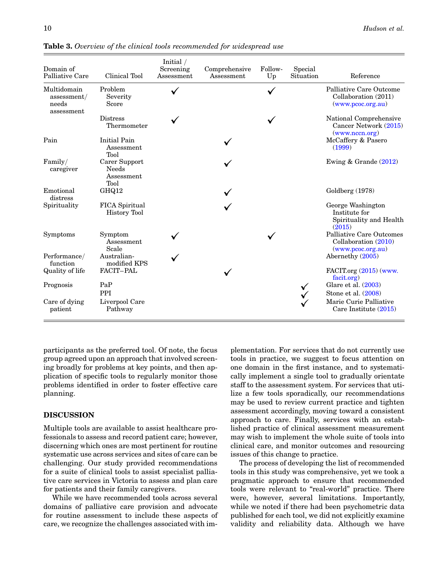| Domain of<br>Palliative Care                      | Clinical Tool                                | Initial /<br>Screening<br>Assessment | Comprehensive<br>Assessment | Follow-<br>Up | Special<br>Situation | Reference                                                                    |
|---------------------------------------------------|----------------------------------------------|--------------------------------------|-----------------------------|---------------|----------------------|------------------------------------------------------------------------------|
| Multidomain<br>assessment/<br>needs<br>assessment | Problem<br>Severity<br>Score                 |                                      |                             |               |                      | Palliative Care Outcome<br>Collaboration (2011)<br>(www.pcoc.org.au)         |
|                                                   | <b>Distress</b><br>Thermometer               |                                      |                             |               |                      | National Comprehensive<br>Cancer Network (2015)<br>(www.nccn.org)            |
| Pain                                              | <b>Initial Pain</b><br>Assessment<br>Tool    |                                      |                             |               |                      | McCaffery & Pasero<br>(1999)                                                 |
| Family/<br>caregiver                              | Carer Support<br>Needs<br>Assessment<br>Tool |                                      |                             |               |                      | Ewing & Grande $(2012)$                                                      |
| Emotional<br>distress                             | GHQ12                                        |                                      |                             |               |                      | Goldberg (1978)                                                              |
| Spirituality                                      | FICA Spiritual<br><b>History Tool</b>        |                                      |                             |               |                      | George Washington<br>Institute for<br>Spirituality and Health<br>(2015)      |
| Symptoms                                          | Symptom<br>Assessment<br>Scale               |                                      |                             |               |                      | <b>Palliative Care Outcomes</b><br>Collaboration (2010)<br>(www.pcoc.org.au) |
| Performance/<br>function                          | Australian-<br>modified KPS                  |                                      |                             |               |                      | Abernethy (2005)                                                             |
| Quality of life                                   | FACIT-PAL                                    |                                      |                             |               |                      | FACIT.org (2015) (www.<br>facit.org)                                         |
| Prognosis                                         | PaP<br><b>PPI</b>                            |                                      |                             |               |                      | Glare et al. $(2003)$<br>Stone et al. $(2008)$                               |
| Care of dying<br>patient                          | Liverpool Care<br>Pathway                    |                                      |                             |               |                      | Marie Curie Palliative<br>Care Institute (2015)                              |

<span id="page-9-0"></span>**Table 3.** Overview of the clinical tools recommended for widespread use

participants as the preferred tool. Of note, the focus group agreed upon an approach that involved screening broadly for problems at key points, and then application of specific tools to regularly monitor those problems identified in order to foster effective care planning.

# DISCUSSION

Multiple tools are available to assist healthcare professionals to assess and record patient care; however, discerning which ones are most pertinent for routine systematic use across services and sites of care can be challenging. Our study provided recommendations for a suite of clinical tools to assist specialist palliative care services in Victoria to assess and plan care for patients and their family caregivers.

While we have recommended tools across several domains of palliative care provision and advocate for routine assessment to include these aspects of care, we recognize the challenges associated with implementation. For services that do not currently use tools in practice, we suggest to focus attention on one domain in the first instance, and to systematically implement a single tool to gradually orientate staff to the assessment system. For services that utilize a few tools sporadically, our recommendations may be used to review current practice and tighten assessment accordingly, moving toward a consistent approach to care. Finally, services with an established practice of clinical assessment measurement may wish to implement the whole suite of tools into clinical care, and monitor outcomes and resourcing issues of this change to practice.

The process of developing the list of recommended tools in this study was comprehensive, yet we took a pragmatic approach to ensure that recommended tools were relevant to "real-world" practice. There were, however, several limitations. Importantly, while we noted if there had been psychometric data published for each tool, we did not explicitly examine validity and reliability data. Although we have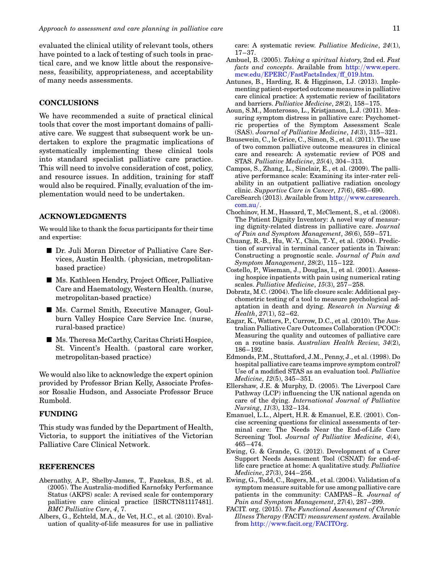<span id="page-10-0"></span>evaluated the clinical utility of relevant tools, others have pointed to a lack of testing of such tools in practical care, and we know little about the responsiveness, feasibility, appropriateness, and acceptability of many needs assessments.

## CONCLUSIONS

We have recommended a suite of practical clinical tools that cover the most important domains of palliative care. We suggest that subsequent work be undertaken to explore the pragmatic implications of systematically implementing these clinical tools into standard specialist palliative care practice. This will need to involve consideration of cost, policy, and resource issues. In addition, training for staff would also be required. Finally, evaluation of the implementation would need to be undertaken.

# ACKNOWLEDGMENTS

We would like to thank the focus participants for their time and expertise:

- Dr. Juli Moran Director of Palliative Care Services, Austin Health. (physician, metropolitanbased practice)
- **B** Ms. Kathleen Hendry, Project Officer, Palliative Care and Haematology, Western Health. (nurse, metropolitan-based practice)
- B Ms. Carmel Smith, Executive Manager, Goulburn Valley Hospice Care Service Inc. (nurse, rural-based practice)
- Ms. Theresa McCarthy, Caritas Christi Hospice, St. Vincent's Health. (pastoral care worker, metropolitan-based practice)

We would also like to acknowledge the expert opinion provided by Professor Brian Kelly, Associate Professor Rosalie Hudson, and Associate Professor Bruce Rumbold.

### FUNDING

This study was funded by the Department of Health, Victoria, to support the initiatives of the Victorian Palliative Care Clinical Network.

#### REFERENCES

- Abernathy, A.P., Shelby-James, T., Fazekas, B.S., et al. (2005). The Australia-modified Karnofsky Performance Status (AKPS) scale: A revised scale for contemporary palliative care clinical practice [ISRCTN81117481]. BMC Palliative Care, 4, 7.
- Albers, G., Echteld, M.A., de Vet, H.C., et al. (2010). Evaluation of quality-of-life measures for use in palliative

care: A systematic review. Palliative Medicine, 24(1), 17–37.

- Ambuel, B. (2005). Taking a spiritual history, 2nd ed. Fast facts and concepts. Available from [http:](http://www.eperc.mcw.edu/EPERC/FastFactsIndex/ff_019.htm)//[www.eperc.](http://www.eperc.mcw.edu/EPERC/FastFactsIndex/ff_019.htm) mcw.edu/EPERC/[FastFactsIndex](http://www.eperc.mcw.edu/EPERC/FastFactsIndex/ff_019.htm)/ff\_019.htm.
- Antunes, B., Harding, R. & Higginson, I.J. (2013). Implementing patient-reported outcome measures in palliative care clinical practice: A systematic review of facilitators and barriers. Palliative Medicine, 28(2), 158–175.
- Aoun, S.M., Monterosso, L., Kristjanson, L.J. (2011). Measuring symptom distress in palliative care: Psychometric properties of the Symptom Assessment Scale (SAS). Journal of Palliative Medicine, 14(3), 315–321.
- Bausewein, C., le Grice, C., Simon, S., et al. (2011). The use of two common palliative outcome measures in clinical care and research: A systematic review of POS and STAS. Palliative Medicine, 25(4), 304–313.
- Campos, S., Zhang, L., Sinclair, E., et al. (2009). The palliative performance scale: Examining its inter-rater reliability in an outpatient palliative radiation oncology clinic. Supportive Care in Cancer, 17(6), 685–690.
- CareSearch (2013). Available from [http:](http://www.caresearch.com.au/)//[www.caresearch.](http://www.caresearch.com.au/) [com.au](http://www.caresearch.com.au/)/.
- Chochinov, H.M., Hassard, T., McClement, S., et al. (2008). The Patient Dignity Inventory: A novel way of measuring dignity-related distress in palliative care. Journal of Pain and Symptom Management, 36(6), 559–571.
- Chuang, R.-B., Hu, W.-Y., Chin, T.-Y., et al. (2004). Prediction of survival in terminal cancer patients in Taiwan: Constructing a prognostic scale. Journal of Pain and Symptom Management, 28(2), 115–122.
- Costello, P., Wiseman, J., Douglas, I., et al. (2001). Assessing hospice inpatients with pain using numerical rating scales. Palliative Medicine, 15(3), 257–258.
- Dobratz, M.C. (2004). The life closure scale: Additional psychometric testing of a tool to measure psychological adaptation in death and dying. Research in Nursing & Health, 27(1), 52–62.
- Eagar, K., Watters, P., Currow, D.C., et al. (2010). The Australian Palliative Care Outcomes Collaboration (PCOC): Measuring the quality and outcomes of palliative care on a routine basis. Australian Health Review, 34(2), 186–192.
- Edmonds, P.M., Stuttaford, J.M., Penny, J., et al. (1998). Do hospital palliative care teams improve symptom control? Use of a modified STAS as an evaluation tool. Palliative Medicine, 12(5), 345–351.
- Ellershaw, J.E. & Murphy, D. (2005). The Liverpool Care Pathway (LCP) influencing the UK national agenda on care of the dying. International Journal of Palliative Nursing, 11(3), 132–134.
- Emanuel, L.L., Alpert, H.R. & Emanuel, E.E. (2001). Concise screening questions for clinical assessments of terminal care: The Needs Near the End-of-Life Care Screening Tool. Journal of Palliative Medicine, 4(4), 465–474.
- Ewing, G. & Grande, G. (2012). Development of a Carer Support Needs Assessment Tool (CSNAT) for end-oflife care practice at home: A qualitative study. Palliative Medicine, 27(3), 244–256.
- Ewing, G., Todd, C., Rogers, M., et al. (2004). Validation of a symptom measure suitable for use among palliative care patients in the community: CAMPAS–R. Journal of Pain and Symptom Management, 27(4), 287–299.
- FACIT. org. (2015). The Functional Assessment of Chronic Illness Therapy (FACIT) measurement system. Available from [http:](http://www.facit.org/FACITOrg)//[www.facit.org](http://www.facit.org/FACITOrg)/FACITOrg.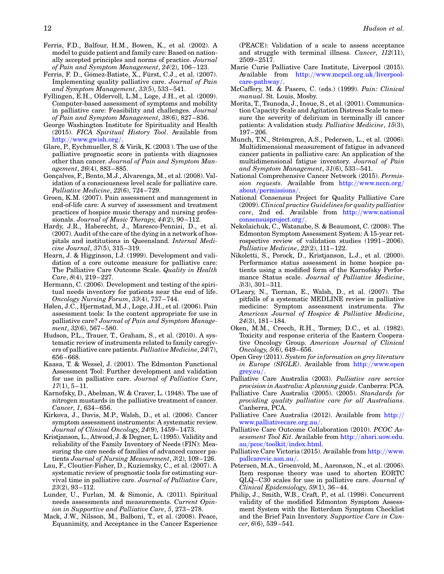- <span id="page-11-0"></span>Ferris, F.D., Balfour, H.M., Bowen, K., et al. (2002). A model to guide patient and family care: Based on nationally accepted principles and norms of practice. Journal of Pain and Symptom Management, 24(2), 106–123.
- Ferris, F. D., Gómez-Batiste, X., Fürst, C.J., et al. (2007). Implementing quality palliative care. Journal of Pain and Symptom Management, 33(5), 533–541.
- Fyllingen, E.H., Oldervoll, L.M., Loge, J.H., et al. (2009). Computer-based assessment of symptoms and mobility in palliative care: Feasibility and challenges. Journal of Pain and Symptom Management, 38(6), 827–836.
- George Washington Institute for Spirituality and Health (2015). FICA Spiritual History Tool. Available from [http:](http://www.gwish.org/)//[www.gwish.org](http://www.gwish.org/)/.
- Glare, P., Eychmueller, S. & Virik, K. (2003 ). The use of the palliative prognostic score in patients with diagnoses other than cancer. Journal of Pain and Symptom Management, 26(4), 883–885.
- Gonçalves, F., Bento, M.J., Alvarenga, M., et al. (2008). Validation of a consciousness level scale for palliative care. Palliative Medicine, 22(6), 724–729.
- Groen, K.M. (2007). Pain assessment and management in end-of-life care: A survey of assessment and treatment practices of hospice music therapy and nursing professionals. Journal of Music Therapy, 44(2), 90–112.
- Hardy, J.R., Haberecht, J., Maresco-Pennisi, D., et al. (2007). Audit of the care of the dying in a network of hospitals and institutions in Queensland. Internal Medicine Journal, 37(5), 315–319.
- Hearn, J. & Higginson, I.J. (1999). Development and validation of a core outcome measure for palliative care: The Palliative Care Outcome Scale. Quality in Health Care, 8(4), 219–227.
- Hermann, C. (2006). Development and testing of the spiritual needs inventory for patients near the end of life. Oncology Nursing Forum, 33(4), 737–744.
- Hølen, J.C., Hjermstad, M.J., Loge, J.H., et al. (2006). Pain assessment tools: Is the content appropriate for use in palliative care? Journal of Pain and Symptom Management, 32(6), 567–580.
- Hudson, P.L., Trauer, T., Graham, S., et al. (2010). A systematic review of instruments related to family caregivers of palliative care patients. Palliative Medicine, 24(7), 656–668.
- Kaasa, T. & Wessel, J. (2001). The Edmonton Functional Assessment Tool: Further development and validation for use in palliative care. Journal of Palliative Care,  $17(1), 5-11.$
- Karnofsky, D., Abelman, W. & Craver, L. (1948). The use of nitrogen mustards in the palliative treatment of cancer. Cancer, 1, 634–656.
- Kirkova, J., Davis, M.P., Walsh, D., et al. (2006). Cancer symptom assessment instruments: A systematic review. Journal of Clinical Oncology, 24(9), 1459–1473.
- Kristjanson, L., Atwood, J. & Degner, L. (1995). Validity and reliability of the Family Inventory of Needs (FIN): Measuring the care needs of families of advanced cancer patients Journal of Nursing Measurement, 3(2), 109–126.
- Lau, F., Cloutier-Fisher, D., Kuziemsky, C., et al. (2007). A systematic review of prognostic tools for estimating survival time in palliative care. Journal of Palliative Care, 23(2), 93–112.
- Lunder, U., Furlan, M. & Simonic, A. (2011). Spiritual needs assessments and measurements. Current Opinion in Supportive and Palliative Care, 5, 273–278.
- Mack, J.W., Nilsson, M., Balboni, T., et al. (2008). Peace, Equanimity, and Acceptance in the Cancer Experience

(PEACE): Validation of a scale to assess acceptance and struggle with terminal illness. Cancer, 112(11), 2509–2517.

- Marie Curie Palliative Care Institute, Liverpool (2015). Available from [http:](http://www.mcpcil.org.uk/liverpool-care-pathway/)//[www.mcpcil.org.uk](http://www.mcpcil.org.uk/liverpool-care-pathway/)/liverpool[care-pathway](http://www.mcpcil.org.uk/liverpool-care-pathway/)/.
- McCaffery, M. & Pasero, C. (eds.) (1999). Pain: Clinical manual. St. Louis, Mosby.
- Morita, T., Tsunoda, J., Inoue, S., et al. (2001). Communication Capacity Scale and Agitation Distress Scale to measure the severity of delirium in terminally ill cancer patients: A validation study. Palliative Medicine, 15(3), 197–206.
- Munch, T.N., Strömgren, A.S., Pedersen, L., et al. (2006). Multidimensional measurement of fatigue in advanced cancer patients in palliative care: An application of the multidimensional fatigue inventory. Journal of Pain and Symptom Management, 31(6), 533–541.
- National Comprehensive Cancer Network (2015). Permission requests. Available from [http:](http://www.nccn.org/about/permissions/)//[www.nccn.org](http://www.nccn.org/about/permissions/)/ about/[permissions](http://www.nccn.org/about/permissions/)/.
- National Consensus Project for Quality Palliative Care (2009). Clinical practice Guidelines for quality palliative care, 2nd ed. Available from [http:](http://www.nationalconsensusproject.org/)//[www.national](http://www.nationalconsensusproject.org/) [consensusproject.org](http://www.nationalconsensusproject.org/)/.
- Nekolaichuk, C., Watanabe, S. & Beaumont, C. (2008). The Edmonton Symptom Assessment System: A 15-year retrospective review of validation studies (1991–2006). Palliative Medicine, 22(2), 111-122.
- Nikoletti, S., Porock, D., Kristjanson, L.J., et al. (2000). Performance status assessment in home hospice patients using a modified form of the Karnofsky Performance Status scale. Journal of Palliative Medicine, 3(3), 301–311.
- O'Leary, N., Tiernan, E., Walsh, D., et al. (2007). The pitfalls of a systematic MEDLINE review in palliative medicine: Symptom assessment instruments. The American Journal of Hospice & Palliative Medicine, 24(3), 181–184.
- Oken, M.M., Creech, R.H., Tormey, D.C., et al. (1982). Toxicity and response criteria of the Eastern Cooperative Oncology Group. American Journal of Clinical Oncology, 5(6), 649–656.
- Open Grey (2011). System for information on grey literature in Europe (SIGLE). Available from [http:](http://www.opengrey.eu/)//[www.open](http://www.opengrey.eu/) [grey.eu](http://www.opengrey.eu/)/.
- Palliative Care Australia (2003). Palliative care service provision in Australia: A planning guide. Canberra: PCA.
- Palliative Care Australia (2005). (2005). Standards for providing quality palliative care for all Australians. Canberra, PCA.
- Palliative Care Australia (2012). Available from [http:](http://www.palliativecare.org.au/)// [www.palliativecare.org.au](http://www.palliativecare.org.au/)/.
- Palliative Care Outcome Collaboration (2010). PCOC Assessment Tool Kit. Available from [http:](http://ahsri.uow.edu.au/pcoc/toolkit/index.html)//[ahsri.uow.edu.](http://ahsri.uow.edu.au/pcoc/toolkit/index.html) au/pcoc/toolkit/[index.html.](http://ahsri.uow.edu.au/pcoc/toolkit/index.html)
- Palliative Care Victoria (2015). Available from [http:](http://www.pallcarevic.asn.au/)//[www.](http://www.pallcarevic.asn.au/) [pallcarevic.asn.au](http://www.pallcarevic.asn.au/)/.
- Petersen, M.A., Groenvold, M., Aaronson, N., et al. (2006). Item response theory was used to shorten EORTC QLQ–C30 scales for use in palliative care. Journal of Clinical Epidemiology, 59(1), 36–44.
- Philip, J., Smith, W.B., Craft, P., et al. (1998). Concurrent validity of the modified Edmonton Symptom Assessment System with the Rotterdam Symptom Checklist and the Brief Pain Inventory. Supportive Care in Can $cer, 6(6), 539-541.$